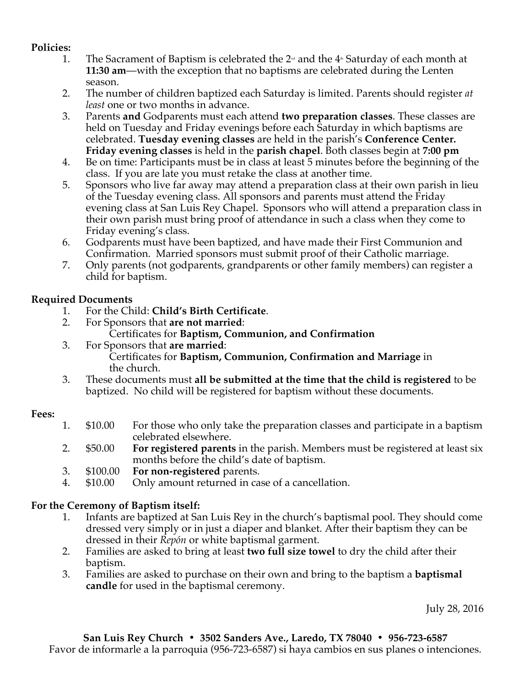### **Policies:**

- 1. The Sacrament of Baptism is celebrated the  $2<sup>nd</sup>$  and the  $4<sup>nd</sup>$  Saturday of each month at **11:30 am**—with the exception that no baptisms are celebrated during the Lenten season.
- 2. The number of children baptized each Saturday is limited. Parents should register *at least* one or two months in advance.
- 3. Parents **and** Godparents must each attend **two preparation classes**. These classes are held on Tuesday and Friday evenings before each Saturday in which baptisms are celebrated. **Tuesday evening classes** are held in the parish's **Conference Center. Friday evening classes** is held in the **parish chapel**. Both classes begin at **7:00 pm**
- 4. Be on time: Participants must be in class at least 5 minutes before the beginning of the class. If you are late you must retake the class at another time.
- 5. Sponsors who live far away may attend a preparation class at their own parish in lieu of the Tuesday evening class. All sponsors and parents must attend the Friday evening class at San Luis Rey Chapel. Sponsors who will attend a preparation class in their own parish must bring proof of attendance in such a class when they come to Friday evening's class.
- 6. Godparents must have been baptized, and have made their First Communion and Confirmation. Married sponsors must submit proof of their Catholic marriage.
- 7. Only parents (not godparents, grandparents or other family members) can register a child for baptism.

### **Required Documents**

- 1. For the Child: **Child's Birth Certificate**.
- 2. For Sponsors that **are not married**: Certificates for **Baptism, Communion, and Confirmation**
- 3. For Sponsors that **are married**: Certificates for **Baptism, Communion, Confirmation and Marriage** in the church.
- 3. These documents must **all be submitted at the time that the child is registered** to be baptized. No child will be registered for baptism without these documents.

### **Fees:**

- 1. \$10.00 For those who only take the preparation classes and participate in a baptism celebrated elsewhere.
- 2. \$50.00 **For registered parents** in the parish. Members must be registered at least six months before the child's date of baptism.
- 3. \$100.00 **For non-registered** parents.
- 4. \$10.00 Only amount returned in case of a cancellation.

# **For the Ceremony of Baptism itself:**

- 1. Infants are baptized at San Luis Rey in the church's baptismal pool. They should come dressed very simply or in just a diaper and blanket. After their baptism they can be dressed in their *Repón* or white baptismal garment.
- 2. Families are asked to bring at least **two full size towel** to dry the child after their baptism.
- 3. Families are asked to purchase on their own and bring to the baptism a **baptismal candle** for used in the baptismal ceremony.

July 28, 2016